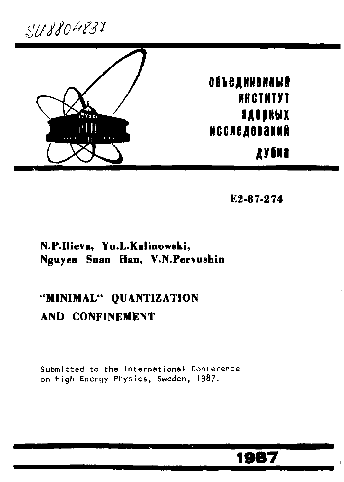548804831



E2-87-274

### N.P.Ilieva, Yu.L.Kalinowski, Nguyen Suan Han, V.N. Pervushin

# "MINIMAL" QUANTIZATION AND CONFINEMENT

Submitted to the International Conference on High Energy Physics, Sweden, 1987.

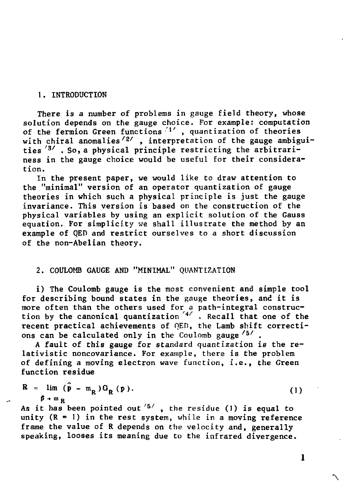#### **1. INTRODUCTION**

**There is a number of problems in gauge field theory, whose solution depends on the gauge choice. For example: computation of the fermion Green functions <sup>1</sup> ' , quantization of theories**  with chiral anomalies<sup>/2/</sup>, interpretation of the gauge ambigui**ties** *' <sup>3</sup> /*  **. So, a physical principle restricting the arbitrariness in the gauge choice would be useful for their consideration.** 

**In the present paper, we would like to draw attention to the "minimal" version of an operator quantization of gauge theories in which such a physical principle is just the gauge invariance. This version is based on the construction of the physical variables by using an explicit solution of the Gauss equation. For simplicity we shall illustrate the method by an example of QED and restrict ourselves to a short discussion of the non-Abelian theory.** 

### **2. COULOMB GAUGE AND "MINIMAL" QUANTIZATION**

**i) The Coulomb gauge is the most convenient and simple tool for describing bound states in the gauge theories, and it is more often than the others used for a path-integral construction by the canonical quantization <sup>4</sup> / . Recall that one of the recent practical achievements of QED, the Lamb shift corrections can be calculated only in the Coulomb gauge /5 / .** 

**A fault of this gauge for standard quantization is the relativistic noncovariance. For example, there is the problem of defining a moving electron wave function, i.e., the Green function residue** 

$$
R = \lim_{\beta \to m_R} (\bar{p} - m_R) G_R(p). \tag{1}
$$

As it has been pointed out <sup>'5</sup>', the residue (1) is equal to **unity (R = 1) in the rest system, while in a moving reference frame the value of R depends on the velocity and, generally speaking, looses its meaning due to the infrared divergence.**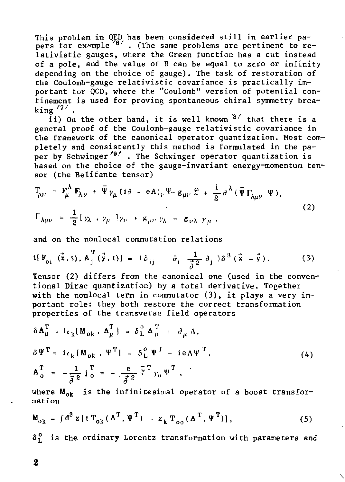This problem in QED has been considered still in earlier papers for example  $\frac{76}{1}$ . (The same problems are pertinent to relativistic gauges, where the Green function has a cut instead of a pole, and the value of R can be equal to zero or infinity depending on the choice of gauge). The task of restoration of the Coulomb-gauge relativistic covariance is practically important for QCD, where the "Coulomb" version of potential confinement is used for proving spontaneous chiral symmetry breaking  $\frac{77}{1}$ .

ii) On the other hand, it is well known  $8'$  that there is a general proof of the Coulomb-gauge relativistic covariance in the framework of the canonical operator quantization. Most completely and consistently this method is formulated in the paper by Schwinger<sup> $\frac{9}{7}$ </sup>. The Schwinger operator quantization is based on the choice of the gauge-invariant energy-momentum tensor (the Belifante tensor)

$$
T_{\mu\nu} = F_{\mu}^{\lambda} F_{\lambda\nu} + \bar{\Psi} \gamma_{\mu} (i\partial - eA)_{\nu} \Psi - g_{\mu\nu} \hat{Y} + \frac{1}{2} \partial^{\lambda} (\bar{\Psi} \Gamma_{\lambda\mu\nu} \Psi),
$$
  
\n
$$
\Gamma_{\lambda\mu\nu} = \frac{1}{2} [\gamma_{\lambda} \cdot \gamma_{\mu} ] \gamma_{\nu} + g_{\mu\nu} \gamma_{\lambda} - g_{\nu\lambda} \gamma_{\mu}.
$$
\n(2)

and on the nonlocal commutation relations

$$
i[F_{oi}(\vec{x},t), A_j^T(\vec{y},t)] = (\delta_{ij} - \partial_i \frac{1}{\vec{\sigma}^2} \partial_j) \delta^3(\vec{x} - \vec{y}).
$$
 (3)

Tensor (2) differs from the canonical one (used in the conventional Dirac quantization) by a total derivative. Together with the nonlocal term in commutator  $(3)$ , it plays a very important role: they both restore the correct transformation .<br>properties of the transverse field operators

$$
\delta \mathbf{A}_{\mu}^{T} = i \epsilon_{k} [M_{ok}, \mathbf{A}_{\mu}^{T}] = \delta_{L}^{0} \mathbf{A}_{\mu}^{T} + \partial_{\mu} \Lambda,
$$
  
\n
$$
\delta \Psi^{T} = i \epsilon_{k} [M_{ok}, \Psi^{T}] = \delta_{L}^{0} \Psi^{T} - i e \Lambda \Psi^{T},
$$
  
\n
$$
\mathbf{A}_{0}^{T} = -\frac{1}{\vec{\sigma}^{2}} j_{0}^{T} = -\frac{e}{\vec{\sigma}^{2}} \bar{y}^{T} \gamma_{0} \Psi^{T},
$$
\n(4)

where  $M_{ok}$  is the infinitesimal operator of a boost transformation

$$
M_{ok} = \int d^3 x [t T_{ok} (A^T, \Psi^T) - x_k T_{oo} (A^T, \Psi^T)],
$$
 (5)

 $\delta_1^0$  is the ordinary Lorentz transformation with parameters and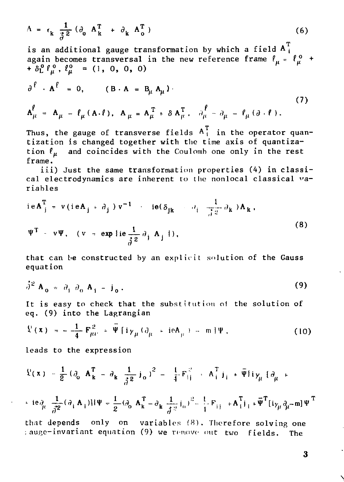$$
\Lambda = \epsilon_{k} \frac{1}{\mathfrak{Z}^{2}} (\partial_{0} \mathbf{A}_{k}^{T} + \partial_{k} \mathbf{A}_{0}^{T})
$$
 (6)

*o*<br>is an additional gauge transformation by which a field A<sup>T</sup> <sub>i</sub> again becomes transversal in the new reference frame *I* = *(°* +  $-$ 

$$
\partial^{\ell} \cdot A^{\ell} = 0, \qquad (B \cdot A = B_{\mu} A_{\mu})
$$
\n
$$
A^{\ell}_{\mu} = A_{\mu} - \ell_{\mu} (A \cdot \ell), \quad A_{\mu} = A_{\mu}^{T} + \delta A_{\mu}^{T}, \quad \partial_{\mu}^{\ell} - \partial_{\mu} - \ell_{\mu} (\partial \cdot \ell).
$$
\n(7)

Thus, the gauge of transverse fields  $\texttt{A}^\text{T}_\text{i}$  in the operator quan tization is changed together with the time axis of quantization  $\ell_{\mu}$  and coincides with the Coulomb one only in the rest frame.

iii) Just the same transformation properties (4) in classical electrodynamics are inherent to the nonlocal classical variables

$$
ieAjT = v(ieAj + \partialj) v-1 - ie(\deltajk - \partialj \frac{1}{\sqrt{2}} \partialk)Ak,
$$
  

$$
\PsiT - v\Psi, (v = exp\{ie\frac{1}{\delta^{2}} \partial_{j} A_{j})).
$$
 (8)

that can be constructed by an explicit solution of the Gauss equation

$$
\dot{\partial}^2 \mathbf{A}_0 = \partial_{\dot{1}} \partial_0 \mathbf{A}_{\dot{1}} - \dot{\mathbf{J}}_0. \tag{9}
$$

It is easy to check that the substitution of the solution of eq. (9) into the Lagrangian

$$
\mathcal{L}(\mathbf{x}) = -\frac{1}{4} \mathbf{F}_{\mu\nu}^2 + \overline{\Psi} \{ i \gamma_{\mu} (\partial_{\mu} + ieA_{\mu}) - m \} \Psi, \qquad (10)
$$

leads to the expression

$$
\begin{aligned} \n\mathfrak{L}(\mathbf{x}) &= \frac{1}{2} \left( \partial_{0} \mathbf{A}_{\mathbf{k}}^{T} - \partial_{\mathbf{k}} \frac{1}{\hat{\beta}^{2}} \mathbf{j}_{0} \right)^{2} = \frac{1}{4} \mathbf{F}_{ij}^{2} + \mathbf{A}_{i}^{T} \mathbf{j}_{i} + \bar{\Psi} \mathbf{i} \gamma_{\mu} \left[ \partial_{\mu} + \right. \\ \n&\left. + ie \partial_{\mu} \frac{1}{\hat{\beta}^{2}} (\partial_{i} \mathbf{A}_{i}) \right] \mathbf{i} \Psi = \frac{1}{2} (\partial_{0} \mathbf{A}_{\mathbf{k}}^{T} - \partial_{\mathbf{k}} \frac{1}{\hat{\beta}^{2}} \mathbf{j}_{0})^{2} - \frac{1}{4} \mathbf{F}_{ij} + \mathbf{A}_{i}^{T} \mathbf{j}_{i} + \bar{\Psi}^{T} \left[ \mathbf{i} \gamma_{\mu} \partial_{\mu} - m \right] \Psi^{T} \n\end{aligned}
$$

that depends only on variables (8). Therefore solving one ; auge-invariant equation (9) we repiovo out two fields. The

3

 $\checkmark$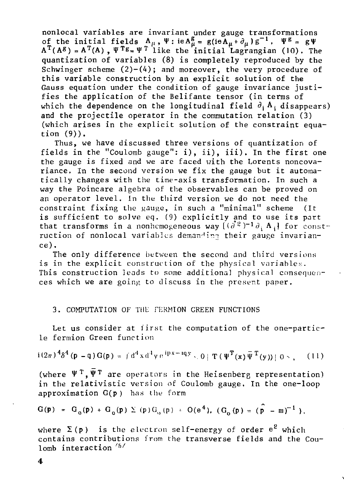nonlocal variables are invariant under gauge transformations of the initial fields  $A_{\mu}$ ,  $\Psi$ : ie $A_{\mu}^{\mathtt{s}} = \mathtt{g}$ (ie $A_{\mu}$ + $\partial_{\mu}$ ) $\mathtt{g}^{-1}$ ,  $\Psi^{\mathtt{g}} = \mathtt{g}\Psi$  $A^T(A^g) = A^T(A)$  ,  $\Psi^{T}B = \Psi^T$  like the initial Lagrangian (10). The quantization of variables (8) is completely reproduced by the Schwinger scheme  $(2)-(4)$ ; and moreover, the very procedure of this variable construction by an explicit solution of the Gauss equation under the condition of gauge invariance justifies the application of the Belifante tensor (in terms of which the dependence on the longitudinal field  $\partial_i$ , A; disappears) and the projectile operator in the commutation relation (3) (which arises in the explicit solution of the constraint equation (9)).

Thus, we have discussed three versions of quantization of fields in the "Coulomb gauge": i), ii), iii). In the first one the gauge is fixed and we are faced with the Lorents noncovariance. In the second version we fix the gauge but it automatically changes with the time-axis transformation. In such a way the Poincare algebra of the observables can be proved on an operator level. In the third version we do not need the constraint fixing the gauge, in such a "minimal" scheme (It is sufficient to solve eq. (9) explicitly and to use its part that transforms in a nonhemogeneous way  $[(\frac{\partial}{\partial t})^{-1}\partial_{\frac{1}{2}}A_{\frac{1}{2}}]$  for construction of nonlocal variables demanding their gauge invariance) .

The only difference between the second and third versions is in the explicit construction of the physical variables. This construction leads to some additional physical consequences which we are going to discuss in the present paper.

#### 3. COMPUTATION OF THE FERMION GREEN FUNCTIONS

Let us consider at first the computation of the one-particle fermion Green function

$$
i(2\pi)^{4}\delta^{4}(p-q)G(p) = i d^{4}x d^{4}y e^{ipx-iqy}, 0 \mid T(\Psi^{T}(x)\bar{\Psi}^{T}(y)) \mid 0 \sim , \quad (11)
$$

(where  $\Psi^{\perp}$ , $\Psi^{\perp}$  are operators in the Heisenberg representation) in the relativistic version of Coulomb gauge. In the one-loop approximation G(p) has the form

$$
G(p) = G_0(p) + G_0(p) \sum (p) G_0(p) + O(e^4), (G_0(p) = (p - m)^{-1}),
$$

where  $\Sigma(p)$  is the electron self-energy of order  $e^2$  which contains contributions from the transverse fields and the Coulomb interaction  $\mathbb{P}^n$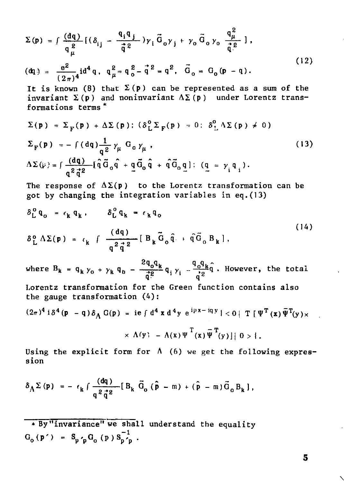$$
\Sigma(\mathbf{p}) = \int \frac{(\mathbf{dq})}{q_{\mu}^{2}} [(\delta_{ij} - \frac{q_{i}q_{j}}{\dot{q}^{2}}) \gamma_{i} \vec{G}_{o} \gamma_{j} + \gamma_{o} \vec{G}_{o} \gamma_{o} \frac{q_{\mu}^{2}}{\dot{q}^{2}}],
$$
  
( $\mathbf{dq}$ ) =  $\frac{e^{2}}{(2\pi)^{4}} i d^{4} q$ ,  $q_{\mu}^{2} = q_{o}^{2} - \vec{q}^{2} = q^{2}$ ,  $\vec{G}_{o} = G_{o} (\mathbf{p} - \mathbf{q}).$  (12)

It is known (8) that  $\Sigma(p)$  can be represented as a sum of the invariant  $\Sigma(p)$  and noninvariant  $\Delta \Sigma(p)$  under Lorentz transformations terms \*

$$
\Sigma(\mathbf{p}) = \Sigma_{\mathbf{F}}(\mathbf{p}) + \Delta \Sigma(\mathbf{p}); (\delta_{\mathbf{L}}^0 \Sigma_{\mathbf{F}}(\mathbf{p}) = 0; \delta_{\mathbf{L}}^0 \Delta \Sigma(\mathbf{p}) \neq 0)
$$
  

$$
\Sigma_{\mathbf{F}}(\mathbf{p}) = -\int (dq) \frac{1}{q^2} \gamma_{\mu} G_0 \gamma_{\mu},
$$
  

$$
\Delta \Sigma(\mu) = \int \frac{(dq)}{q^2 \vec{q}^2} [\hat{q} \vec{G}_0 \hat{q} + \vec{q} \vec{G}_0 \hat{q} + \hat{q} \vec{G}_0 \hat{q}]; (q = \gamma_i q_i).
$$
 (13)

The response of  $\Delta \Sigma(p)$  to the Lorentz transformation can be got by changing the integration variables in eq.(13)

$$
\delta_{\mathbf{L}}^{\mathbf{0}} \mathbf{q}_{\mathbf{0}} = \epsilon_{\mathbf{k}} \mathbf{q}_{\mathbf{k}}, \qquad \delta_{\mathbf{L}}^{\mathbf{0}} \mathbf{q}_{\mathbf{k}} = \epsilon_{\mathbf{k}} \mathbf{q}_{\mathbf{0}}
$$
\n
$$
\delta_{\mathbf{L}}^{\mathbf{0}} \Lambda \Sigma(\mathbf{p}) = \epsilon_{\mathbf{k}} \int \frac{(\mathbf{dq})}{\mathbf{q}^{2} \mathbf{q}^{2}} [\mathbf{B}_{\mathbf{k}} \mathbf{\vec{G}}_{\mathbf{0}} \mathbf{\hat{q}}] + \mathbf{\hat{q}} \mathbf{\vec{G}}_{\mathbf{0}} \mathbf{B}_{\mathbf{k}}], \qquad (14)
$$

 $2q_{\alpha}q_{\nu}$   $q_{\alpha}q_{\nu}$ where  $B_k = q_k y_0 + y_k q_0 - \frac{2}{\pi^2} q_i y_i - \frac{q_n}{\pi^2} q$ . However, the total q- q<br>Calendario d

Lorentz transformation for the Green function contains also the gauge transformation (4):

$$
(2\pi)^4 \, i\,\delta^4(p - q)\,\delta_A\,G(p) = i e \int d^4 x\,d^4 y\,e^{ipx - iqy} \,|\n\langle 0 | T \,[\Psi^T(x)\overline{\Psi}^T(y)\times
$$
\n
$$
\times \Lambda(y) - \Lambda(x)\Psi^T(x)\overline{\Psi}^T(y)\,]\,|\,0 > \frac{1}{2}.
$$

Using the explicit form for  $\Lambda$  (6) we get the following expression

$$
\delta_{\Lambda} \Sigma (\mathbf{p}) = - \epsilon_{\mathbf{k}} \int \frac{(\mathrm{d}\mathbf{q})}{q^2 \, \mathbf{q}^2} \left[ \mathbf{B}_{\mathbf{k}} \, \vec{\mathbf{G}}_{\mathbf{0}} \left( \hat{\mathbf{p}} - \mathbf{m} \right) + \left( \hat{\mathbf{p}} - \mathbf{m} \right) \vec{\mathbf{G}}_{\mathbf{0}} \, \mathbf{B}_{\mathbf{k}} \right],
$$

\* By "invariance" we shall understand the equality  $\label{eq:G0} {\rm G}_{{\rm o}}\left(\, {\rm p}^{\,\prime}\,\right) \;\; = \;\; {\rm S}_{{\rm p}^{~\prime}{\rm p}}\,{\rm G}_{{\rm o}}\,\left(\, {\rm p} \,\right)\,{\rm S}_{{\rm p}^{~\prime}{\rm p}}^{-1}\,\; .$ 

 $\overline{\phantom{0}}$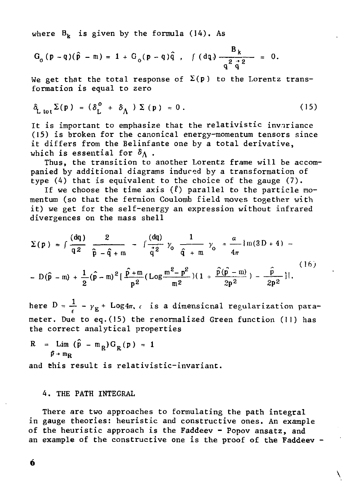where  $B_k$  is given by the formula (14). As

$$
G_o(p-q)(\hat{p}-m) = 1 + G_o(p-q)\hat{q}
$$
,  $\int (dq) \frac{B_k}{q^2 \hat{q}^2} = 0$ .

We get that the total response of  $\Sigma(p)$  to the Lorentz transformation is equal to zero

$$
\delta_{\text{L tot}} \Sigma(\mathbf{p}) = (\delta_{\text{L}}^0 + \delta_{\text{A}}) \Sigma(\mathbf{p}) = 0. \qquad (15)
$$

It is important to emphasize that the relativistic invariance (15) is broken for the canonical energy-momentum tensors since it differs from the Belinfante one by a total derivative, which is essential for  $\delta_{\Lambda}$ .

Thus, the transition to another Lorentz frame will be accompanied by additional diagrams induced by a transformation of type (4) that is equivalent to the choice of the gauge (7).

If we choose the time axis  $(l)$  parallel to the particle momentum (so that the fermion Coulomb field moves together with it) we get for the self-energy an expression without infrared divergences on the mass shell

$$
\Sigma(p) = \int \frac{(dq)}{q^2} \frac{2}{\hat{p} - \hat{q} + m} - \int \frac{(dq)}{\hat{q}^2} \gamma_0 \frac{1}{\hat{q} + m} \gamma_0 = \frac{a}{4\pi} \{m(3D + 4) -
$$
  
-  $D(\hat{p} - m) + \frac{1}{2}(\hat{p} - m)^2 [\frac{\hat{p} + m}{p^2} (\log \frac{m^2 - p^2}{m^2}) (1 + \frac{\hat{p}(\hat{p} - m)}{2p^2}) - \frac{\hat{p}}{2p^2} ]$  (16)

here  $D = \frac{1}{\epsilon} - \gamma_{\kappa}$  + Log4 $\pi$ , *e* is a dimensional regularization parameter. Due to eq.(15) the renormalized Green function (11) has the correct analytical properties

 $R = Lim (\hat{p} - m_R) G_R (p) = 1$  $\hat{p}$  + m<sub>p</sub>

and this result is relativistic-invariant.

#### 4. THE PATH INTEGRAL

There are two approaches to formulating the path integral in gauge theories: heuristic and constructive ones. An example of the heuristic approach is the Faddeev - Popov ansatz, and an example of the constructive one is the proof of the Faddeev -

 $\mathcal{L}_{\mathcal{L}}$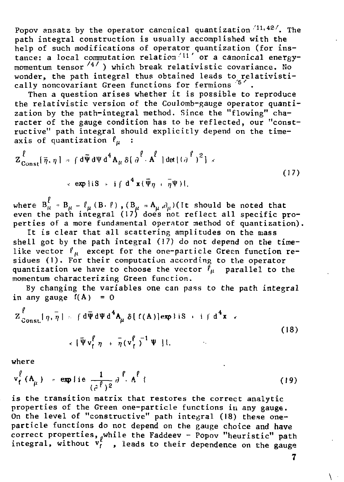Popov ansatz by the operator canonical quantization  $\langle 11, 42 \rangle$ . The path integral construction is usually accomplished with the help of such modifications of operator quantization (for ins-<br>tance: a local commutation relation<sup>(11'</sup> or a canonical energymomentum tensor  $\frac{4}{1}$ ) which break relativistic covariance. No wonder, the path integral thus obtained leads to relativistically noncovariant Green functions for fermions 57.

Then a question arises whether it is possible to reproduce the relativistic version of the Coulomb-gauge operator quantization by the path-integral method. Since the "flowing" character of the gauge condition has to be reflected, our "constructive" path integral should explicitly depend on the timeaxis of quantization  $\ell_u$  :

$$
Z_{\text{Const}}^{\ell}[\bar{\eta}, \eta] = \int d\bar{\Psi} d\Psi d^4 A_{\mu} \delta[\partial^{\ell} \cdot A^{\ell}] \det[(\partial^{\ell})^2] \times
$$
  
 
$$
\times \exp[iS + i \int d^4 x (\bar{\Psi}_{\eta} + \bar{\eta} \Psi)]. \tag{17}
$$

where  $B_{\mu}^{\ell}$  =  $B_{\mu} - \ell_{\mu} (B \cdot \ell)$ ,  $(B_{\mu} = A_{\mu}, \partial_{\mu})$  (It should be noted that even the path integral (17) does not reflect all specific properties of a more fundamental operator method of quantization).

It is clear that all scattering amplitudes on the mass shell got by the path integral (17) do not depend on the timelike vector  $f_n$  except for the one-particle Green function residues (1). For their computation according to the operator quantization we have to choose the vector  $\ell_{\mu}$  parallel to the momentum characterizing Green function.

By changing the variables one can pass to the path integral in any gauge  $f(A) = 0$ 

$$
Z_{\text{Const.}}^{\ell}[\eta, \bar{\eta}] = \int d\bar{\Psi} d\Psi d^4 A_{\mu} \delta[f(A)] \exp\{iS + i \int d^4 x \tag{18}
$$

$$
\times \left[ \overline{\Psi} \, v_{\Gamma}^{\ell} \, \eta \; + \; \overline{\eta} \, (v_{\Gamma}^{\ell})^{-1} \, \Psi \, \right] \, \}
$$

where

$$
v_{f}^{\ell}(A_{\mu}) = \exp\{ie \frac{1}{(\hat{c}^{\ell})^2} \partial^{\ell} \cdot A^{\ell} \}
$$
 (19)

is the transition matrix that restores the correct analytic properties of the Green one-particle functions in any gauge. On the level of "constructive" path integral (18) these oneparticle functions do not depend on the gauge choice and have correct properties, while the Faddeev - Popov "heuristic" path<br>integral, without  $v_f^{\text{white}}$ , leads to their dependence on the gauge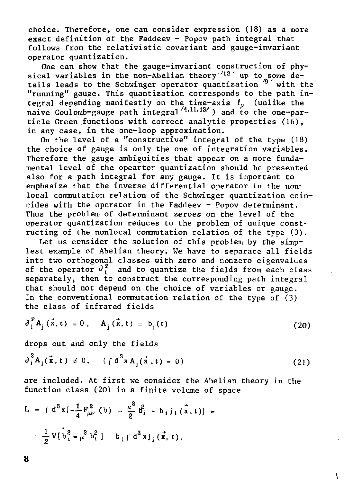choice. Therefore, one can consider expression (18) as a more exact definition of the Faddeev - Popov path integral that follows from the relativistic covariant and gauge-invariant operator quantization.

One can show that the gauge-invariant construction of physical variables in the non-Abelian theory<sup>-12</sup> up to some details leads to the Schwinger operator quantization  $\frac{1}{9}$  with the "running" gauge. This quantization corresponds to the path integral depending manifestly on the time-axis  $\ell_u$  (unlike the naive Coulomb-gauge path integral'"'''") and to the one-par ticle Green functions with correct analytic properties (16), in any case, in the one-loop approximation.

On the level of a "constructive" integral of the type (18) the choice of gauge is only the one of integration variables. Therefore the gauge ambiguities that appear on a more fundamental level of the opeartor quantization should be presented also for a path integral for any gauge. It is important to emphasize that the inverse differential operator in the nonlocal commutation relation of the Schwinger quantization coincides with the operator in the Faddeev - Popov determinant. Thus the problem of determinant zeroes on the level of the operator quantization reduces to the problem of unique constructing of the nonlocal commutation relation of the type (3).

Let us consider the solution of this problem by the simplest example of Abelian theory. We have to separate all fields into two orthogonal classes with zero and nonzero eigenvalues of the operator  $\theta_i^2$  and to quantize the fields from each class separately, then to construct the corresponding path integral that should not depend on the choice of variables or gauge. In the conventional commutation relation of the type of  $(3)$ the class of infrared fields

$$
\partial_i^2 A_j(\vec{x}, t) = 0, \quad A_j(\vec{x}, t) = b_j(t) \tag{20}
$$

drops out and only the fields

$$
\partial_{i}^{2} A_{j}(\vec{x}, t) \neq 0, \quad (f d^{3} x A_{j}(\vec{x}, t) = 0)
$$
 (21)

are included. At first we consider the Abelian theory in the function class (20) in a finite volume of space

**\** 

$$
L = \int d^3x \left[ -\frac{1}{4} F_{\mu\nu}^2 (b) - \frac{\mu^2}{2} \right]_1^2 + b_1 j_1 (\vec{x}, t) =
$$
  
=  $\frac{1}{2} V [b_1^2 = \mu^2 b_1^2] + b_1 f d^3 x j_1 (\vec{x}, t).$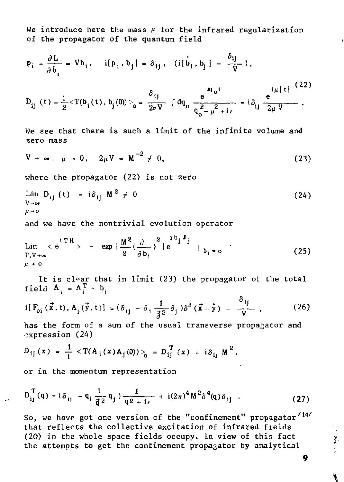We introduce here the mass  $\mu$  for the infrared regularization of the propagator of the quantum field

$$
p_{i} = \frac{\partial L}{\partial \dot{b}_{i}} = Vb_{i}, \quad i[p_{i}, b_{j}] = \delta_{ij}, \quad (i[\dot{b}_{i}, b_{j}] = \frac{\delta_{ij}}{V}),
$$
  

$$
D_{ij} (t) = \frac{1}{2} \langle T(b_{i}(t), b_{j}(0)) \rangle_{0} = \frac{\delta_{ij}}{2\pi V} \int dq_{0} \frac{a_{0}^{i}}{q_{0}^{2} - \mu^{2} + i\epsilon} = i\delta_{ij} \frac{e^{i\mu |t|}}{2\mu V}.
$$
 (22)

We see that there is such a limit of the infinite volume and zero mass

$$
V \to \infty, \ \mu \to 0, \ 2\mu V = M^{-2} \neq 0,
$$
 (23)

where the propagator  $(22)$  is not zero

$$
\lim_{\begin{array}{c}\nabla \to \infty \\
\mu \to 0\n\end{array}} D_{ij} (t) = i \delta_{ij} M^2 \neq 0
$$
\n(24)

and we have the nontrivial evolution operator

$$
\lim_{\begin{array}{c}\nT, V \to \infty \\
\mu \to 0\n\end{array}} < e^{i \text{TH}} > = \exp \left\{ \frac{M^2}{2} \left( \frac{\partial}{\partial b_i} \right)^2 \right\} e^{i \text{B}_{j} \text{J} \text{J}} \Big|_{b_i = 0}
$$
\n(25)

It is clear that in limit (23) the propagator of the total field  $A_i = A_i^T + b_i$ 

$$
i[F_{oi}(\vec{x},t), A_{j}(\vec{y},t)] = (\delta_{ij} - \partial_{i} \frac{1}{\vec{\beta}^{2}} \partial_{j} \partial_{j}^{3} (\vec{x} - \vec{y}) + \frac{\partial_{ij}}{\nabla}, \qquad (26)
$$

 $\ddot{\phantom{0}}$ 

has the form of a sum of the usual transverse propagator and expression (24)

$$
D_{ij}(x) = \frac{1}{i} \langle T(A_i(x) A_j(0)) \rangle_0 = D_{ij}^{T}(x) + i \delta_{ij} M^2,
$$

or in the momentum representation

$$
D_{ij}^{T}(q) = (\delta_{ij} - q_i \frac{1}{\vec{q}^2} q_j) \frac{1}{q^2 + i\epsilon} + i(2\pi)^4 M^2 \delta^4(q) \delta_{ij} .
$$
 (27)

So, we have got one version of the "confinement" propagator<sup>/14/</sup> that reflects the collective excitation of infrared fields (20) in the whole space fields occupy. In view of this fact the attempts to get the confinement propagator by analytical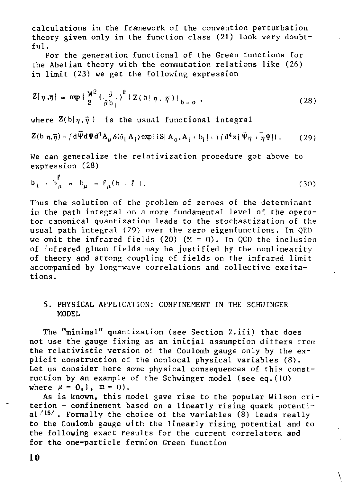calculations in the framework of the convention perturbation theory given only in the function class (21) look very doubt $f_{11}$ ].

For the generation functional of the Green functions for the Abelian theory with the commutation relations like (26) in limit (23) we get the following expression

$$
Z[\eta,\overline{\eta}] = \exp\left\{\frac{M^2}{2} \left(\frac{\partial}{\partial b_i}\right)^2 \left\{Z(b|\eta,\overline{\eta})\right\}_{b=0} ,\right.
$$
 (28)

where  $\mathbb{Z}(b|\eta,\bar{\eta})$  is the usual functional integral

$$
Z(b|\eta,\tilde{\eta}) = \int d\Psi d\Psi d^4 A_\mu \delta(\partial_i A_i) \exp\{iS[A_0, A_i + b_i] + i\int d^4x \{\overline{\Psi}\eta + \overline{\eta}\Psi\}\}.
$$
 (29)

We can generalize the relativization procedure got above to expression (28)

$$
\mathbf{b}_{i} \cdot \mathbf{b}_{\mu}^{\mathbf{p}} = \mathbf{b}_{\mu} - \ell_{\mu}(\mathbf{b} \cdot \mathbf{f}). \tag{30}
$$

Thus the solution of the problem of zeroes of the determinant in the path integral on a more fundamental level of the operator canonical quantization leads to the stochastization of the usual path integral (29) over the zero eigenfunctions. In OED we omit the infrared fields (20)  $(M = 0)$ . In QCD the inclusion of infrared gluon fields may be justified by the nonlinearity of theory and strong coupling of fields on the infrared limit accompanied by long-wave correlations and collective excitations.

#### 5. PHYSICAL APPLICATION: CONFINEMENT IN THE SCHWINGER MODEL

The "minimal" quantization (see Section 2.iii) that does not use the gauge fixing as an initial assumption differs from the relativistic version of the Coulomb gauge only by the explicit construction of the nonlocal physical variables (8). Let us consider here some physical consequences of this construction by an example of the Schwinger model (see eq.(IO) where  $\mu = 0, 1, m = 0$ .

As is known, this model gave rise to the popular Wilson criterion - confinement based on a linearly rising quark potential  $/15/$ . Formally the choice of the variables  $(8)$  leads really to the Coulomb gauge with the linearly rising potential and to the following exact results for the current correlators and for the one-particle fermion Green function

 $\tilde{L}$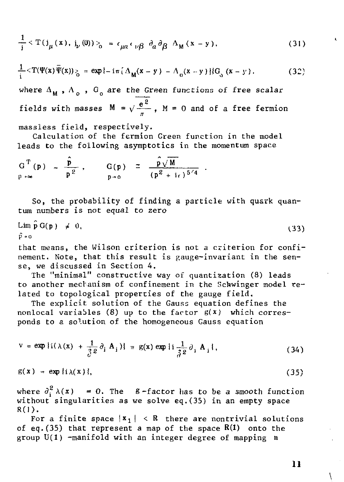$$
\frac{1}{i} \langle T(j_{\mu}(x), j_{\nu}(0)) \rangle_{0} = \epsilon_{\mu\alpha} \epsilon_{\nu\beta} \partial_{\alpha} \partial_{\beta} \Delta_{M}(x - y), \qquad (31)
$$

$$
\frac{1}{i} \langle T(\Psi(x))\overline{\Psi}(x)\rangle_{\delta} = \exp\{-i\pi\left[\Delta_M(x-y) - \Delta_0(x-y)\right]\}G_{\delta}(x-y) \,.
$$
 (32)

where  $\Delta_{\mathbf{M}}$ ,  $\Delta_{\alpha}$ ,  $G_{\alpha}$  are the Green functions of free scalar fields with masses  $M = \sqrt{\frac{e^2}{\pi}}$ ,  $M = 0$  and of a free fermion

massless field, respectively.

Calculation of the fermion Green function in the model leads to the following asymptotics in the momentum space

$$
G^T(p) = \frac{\hat{p}}{p^2}, \qquad G(p) = \frac{\hat{p}\sqrt{M}}{(p^2 + i\epsilon)^{5/4}}
$$

So, the probability of finding a particle with quark quantum numbers is not equal to zero

$$
\lim_{\hat{P} \to 0} \hat{G}(p) \neq 0,
$$
\n(33)

that means, the Wilson criterion is not a criterion for confinement. Note, that this result is gauge-invariant in the sense, we discussed in Section 4.

The "minimal" constructive way of quantization (8) leads to another mechanism of confinement in the Schwinger model related to topological properties of the gauge field.

The explicit solution of the Gauss equation defines the nonlocal variables (8) up to the factor  $g(x)$  which corresponds to a solution of the homogeneous Gauss equation

$$
v = \exp{i(\lambda(x) + \frac{1}{\delta} \partial_i A_i)} = g(x) \exp{i(\frac{1}{\delta^2} \partial_i A_i)},
$$
 (34)

$$
g(x) = \exp\{i\lambda(x)\},\tag{35}
$$

where  $\partial_i^2 \lambda(x) = 0$ . The  $\beta$ -factor has to be a smooth function without singularities as we solve eq.(35) in an empty space  $R(1)$ .

For a finite space  $|x_1| \le R$  there are nontrivial solutions of eq. (35) that represent a map of the space  $R(1)$  onto the group  $U(1)$  -manifold with an integer degree of mapping n

 $\mathbf{1}$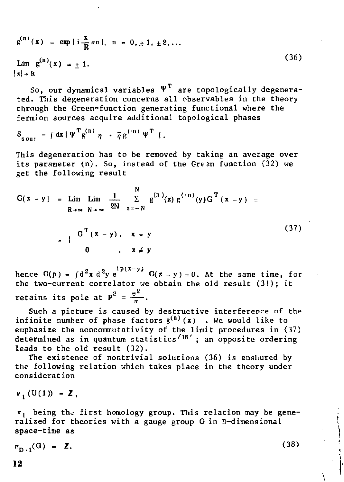$$
g^{(n)}(x) = \exp\{i\frac{x}{R}\pi n\}, n = 0, \pm 1, \pm 2, ...
$$
  
\n
$$
\lim_{|x| \to R} g^{(n)}(x) = \pm 1.
$$
 (36)

So, our dynamical variables  $\Psi^T$  are topologically degenerated. This degeneration concerns all observables in the theory through the Green-function generating functional where the fermion sources acquire additional topological phases

$$
S_{\text{s} \text{our}} = \int dx \, \{ \Psi^{\text{T}} g^{(n)} \eta + \overline{\eta} g^{(n)} \Psi^{\text{T}} \}.
$$

This degeneration has to be removed by taking an average over its parameter (n). So, instead of the Green function (32) we get the following result

$$
G(x - y) = \lim_{R \to \infty} \lim_{N \to \infty} \frac{1}{2N} \sum_{n = -N}^{N} g^{(n)}(x) g^{(-n)}(y) G^{T}(x - y) =
$$
  
= 
$$
\begin{cases} G^{T}(x - y), & x = y \\ 0, & x \neq y \end{cases}
$$
 (37)

hence  $G(p) = \int d^2x d^2y e^{ip(x-y)} G(x-y)=0$ . At the same time, for the two-current correlator we obtain the old result  $(31)$ ; it retains its pole at  $P^2 = \frac{e^2}{\pi}$ .

Such a picture is caused by destructive interference of the infinite number of phase factors  $g^{(n)}(x)$  . We would like to emphasize the noncommutativity of the limit procedures in (37) determined as in quantum statistics''16' ; an opposite ordering leads to the old result (32).

The existence of nontrivial solutions (36) is enshured by the following relation which takes place in the theory under consideration

$$
n_1(U(1)) = Z,
$$

 $\pi_1$  being the first homology group. This relation may be generalized for theories with a gauge group G in D-dimensional space-time as

$$
\pi_{D-1}(G) = Z. \tag{38}
$$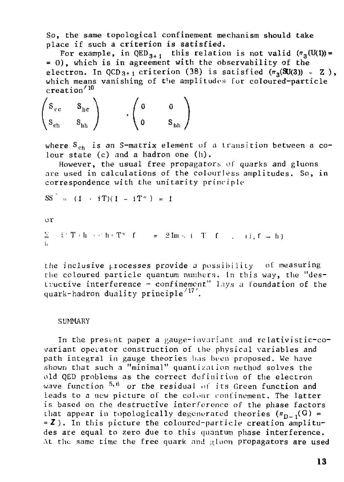So, the same topological confinement mechanism should take place if such a criterion is satisfied.

For example, in QED  $_{3+1}$  this relation is not valid ( $\pi^{}_{3}({\rm U(1)})$ = = 0) , which is in agreement with the observability of the electron. In QCD<sub>3+1</sub> criterion (38) is satisfied  $(\pi_3(\text{SU}(3)) = \mathbb{Z})$ , which means vanishing of the amplitudes for coloured-particle creation''<sup>10</sup>

 $\mathbf{S}_{\text{cc}} = \mathbf{S}_{\text{bc}}$  $\mathcal{S}_{ch}$   $\mathcal{S}_{hh}$  /  $\mathcal{S}_{hh}$ 

where  $S_{ch}$  is an S-matrix element of a transition between a colour state (c) and a hadron one (h).

However, the usual free propagators of quarks and gluons are used in calculations of the colourless amplitudes. So, in correspondence with the unitarity principle

 $SS^{\dagger} = (1 + iT)(1 - iT^*) = 1$ 

or

Σ i <sup>-</sup> T (h → c'h) T\* (f = = 2Im ← i - T = f = , − (i, f ← h ) .<br>b

the inclusive processes provide a possibility of measuring the coloured particle quantum numbers. In this way, the "destructive interference - confinement" l.jy.s a foundation of the quark-hadron duality principle'''.

#### SUMMARY

In the present paper a gauge-invariant and rolativistic-covariant operator construction of the physical variables and path integral in gauge theories has been proposed. We have shown that such a "minimal" quantization method solves the old QED problems as the correct definition of the electron wave function  $5,9$  or the residual of its Green function and leads to a new picture of the colour confinement. The latter is based on the destructive interference of the phase factors that appear in topologically degenerated theories  $(\pi_{\sf n-1}({\sf G})*$ =Z) . In this picture the coloured-particle creation amplitudes are equal to zero due to this quantum phase interference. At the same time the free quark and gluon propagators are used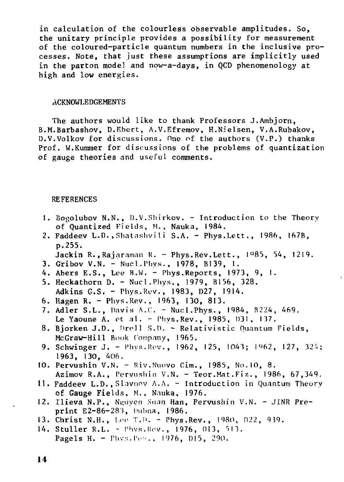in calculation of the colourless observable amplitudes. So, the unitary principle provides a possibility for measurement of the coloured-particle quantum numbers in the inclusive processes. Note, that just these assumptions are implicitly used in the parton model and now-a-days, in QCD phenomenology at high and low energies.

#### ACKNOWLEDGEMENTS

The authors would like to thank Professors J.Ambjorn, B.M.Barbashov, D.Ebert, A.V.Efremov, H.Nielsen, V.A.Rubakov, D.V.Volkov for discussions. One of the authors (V.P.) thanks Prof. W.Kummer for discussions of the problems of quantization of gauge theories and useful comments.

#### REFERENCES

- 1. Bogolubov N.N., D.V.Shirkov. Introduction to the Theory of Quantized Fields, M., Nauka, 1984.
- 2. Faddeev L.D., Shatashvili S.A. Phys.Lett., 1986, 167B, p.255.
	- Jackin R., Rajaraman R. Phys. Rev. Lett.,  $1^{\circ}85$ , 54, 1219.
- 3. Gribov V.N. Nucl. Phys., 1978, B139, 1.
- 4. Abers E.S., Lee B.W. Phys.Reports, 1973, 9, I.
- 5. Heckathorn D. Nucl.Phys., 1979, B156, 328. Adkins G.S. - Phys.Rev., 1983, D27, 1914.
- 6. Hagen R. Phys.Rev., 1963, 130, 813.
- 7. Adler S.L., Davis A.C. Nucl.Phys., 1984, B224, 469. Le Yaoune A. et al. - Phys.Rev., 1985, 131, 137.
- 8. Bjorken J.D., Drell S.D. Relativistic Ouantum Fields, McGraw-Hill Book Company, 1965.
- 9. Schwinger J. Phys.Rev., 1962, 125, 1043; 1962, 127, 324; 1963, 130, 406.
- 10. Pervushin V.N. Riv.Nunvo Cim., 1985, No.10, 8. Azimov R.A., Pervushin V.N. - Teor.Mat.Fiz., 1986, 67,349.
- 11. Faddeev L.D., Slavnov A.A. Introduction in Quantum Theory of Gauge Fields, M., Nauka, 1976,
- 12. Ilieva N.P., Nguyen Suan Han, Pervushin V.N. JINR Preprint E2-86-28J, nuhna, 1986.
- 13. Christ N.H., Lee T.D. Phys.Rev., 1980, D22, 939.
- 14. Stuller R.L. Phys.Rev., 1976, D13, 513. Pagels H. - Phvs. Perr., 1976, D15, 290.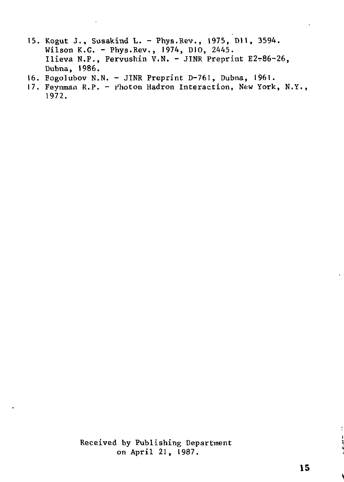- 15. Kogut J., Susakind L. Phys.Rev., 1975, Dll, 3594. Wilson K.G. - Phys.Rev., 1974, D10, 2445. Ilieva N.P., Pervushin V.N. - JINR Preprint Е2т86-26, Dubna, 1986.
- 16. Eogolubov N.N. JINR Preprint D-761, Dubna, 1961.
- 17. Feynman R.P. Photon Hadron Interaction, New York, N.Y., 1972.

Received by Publishing Department on April 21, 1987.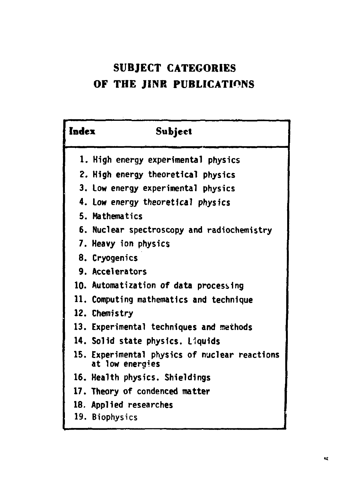## **SUBJECT CATEGORIES OF THE JINR PUBLICATIONS**

| Index | Subject                                                          |
|-------|------------------------------------------------------------------|
|       | 1. High energy experimental physics                              |
|       | 2. High energy theoretical physics                               |
|       | 3. Low energy experimental physics                               |
|       | 4. Low energy theoretical physics                                |
|       | 5. Mathematics                                                   |
|       | 6. Nuclear spectroscopy and radiochemistry                       |
|       | 7. Heavy ion physics                                             |
|       | 8. Cryogenics                                                    |
|       | 9. Accelerators                                                  |
|       | 10. Automatization of data processing                            |
|       | 11. Computing mathematics and technique                          |
|       | 12. Chemistry                                                    |
|       | 13. Experimental techniques and methods                          |
|       | 14. Solid state physics. Liquids                                 |
|       | 15. Experimental physics of nuclear reactions<br>at low energies |
|       | 16. Health physics. Shieldings                                   |
|       | 17. Theory of condenced matter                                   |
|       | 18. Applied researches                                           |
|       | 19. Biophysics                                                   |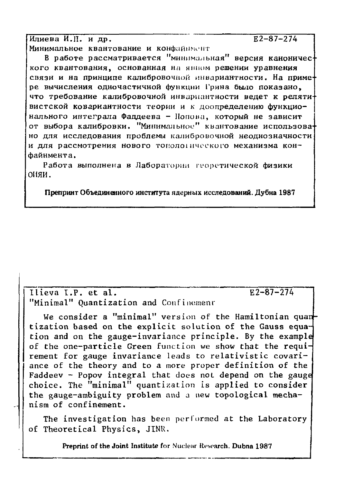Илиева И.П. и др.  $E2 - 87 - 274$ Минимальное квантование и конфайныент

В работе рассматривается "минимальная" версия канонического квантования, основанная на явном решении уравнения связи и на принципе калибровочной инвариантности. На примере вычисления одночастичной функции Грина было показано. что требование калибровочной инвариантности ведет к релятивистской ковариантности теории и к доопределению функционального интеграла Фаддеева - Попона, который не зависит от выбора калибровки. "Минимальное" квантование использовано для исследования проблемы калибровочной неоднозначности и для рассмотрения нового топологического механизма конфайнмента.

Работа выполнена в Лаборатории георетической физики оняи.

Препринт Объединенного института ядерных исследований. Дубна 1987

Ilieva I.P. et al. "Minimal" Ouantization and Confinement  $E2 - 87 - 274$ 

We consider a "minimal" version of the Hamiltonian quan tization based on the explicit solution of the Gauss equation and on the gauge-invariance principle. By the example of the one-particle Green function we show that the requirement for gauge invariance leads to relativistic covariance of the theory and to a more proper definition of the Faddeev - Popoy integral that does not depend on the gauge choice. The "minimal" quantization is applied to consider the gauge-ambiguity problem and a new topological mechanism of confinement.

The investigation has been performed at the Laboratory of Theoretical Physics, JINR.

Preprint of the Joint Institute for Nuclear Research, Dubna 1987